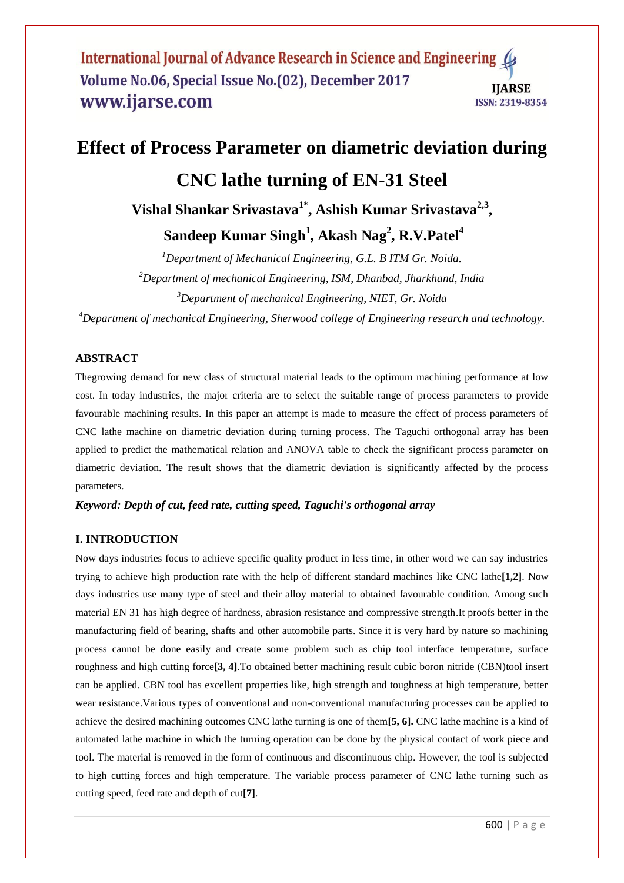# **Effect of Process Parameter on diametric deviation during CNC lathe turning of EN-31 Steel Vishal Shankar Srivastava1\* , Ashish Kumar Srivastava2,3 ,**

**Sandeep Kumar Singh<sup>1</sup> , Akash Nag<sup>2</sup> , R.V.Patel<sup>4</sup>**

*<sup>1</sup>Department of Mechanical Engineering, G.L. B ITM Gr. Noida. <sup>2</sup>Department of mechanical Engineering, ISM, Dhanbad, Jharkhand, India <sup>3</sup>Department of mechanical Engineering, NIET, Gr. Noida*

*<sup>4</sup>Department of mechanical Engineering, Sherwood college of Engineering research and technology.*

## **ABSTRACT**

Thegrowing demand for new class of structural material leads to the optimum machining performance at low cost. In today industries, the major criteria are to select the suitable range of process parameters to provide favourable machining results. In this paper an attempt is made to measure the effect of process parameters of CNC lathe machine on diametric deviation during turning process. The Taguchi orthogonal array has been applied to predict the mathematical relation and ANOVA table to check the significant process parameter on diametric deviation. The result shows that the diametric deviation is significantly affected by the process parameters.

#### *Keyword: Depth of cut, feed rate, cutting speed, Taguchi's orthogonal array*

## **I. INTRODUCTION**

Now days industries focus to achieve specific quality product in less time, in other word we can say industries trying to achieve high production rate with the help of different standard machines like CNC lathe**[1,2]**. Now days industries use many type of steel and their alloy material to obtained favourable condition. Among such material EN 31 has high degree of hardness, abrasion resistance and compressive strength.It proofs better in the manufacturing field of bearing, shafts and other automobile parts. Since it is very hard by nature so machining process cannot be done easily and create some problem such as chip tool interface temperature, surface roughness and high cutting force**[3, 4]**.To obtained better machining result cubic boron nitride (CBN)tool insert can be applied. CBN tool has excellent properties like, high strength and toughness at high temperature, better wear resistance.Various types of conventional and non-conventional manufacturing processes can be applied to achieve the desired machining outcomes CNC lathe turning is one of them**[5, 6].** CNC lathe machine is a kind of automated lathe machine in which the turning operation can be done by the physical contact of work piece and tool. The material is removed in the form of continuous and discontinuous chip. However, the tool is subjected to high cutting forces and high temperature. The variable process parameter of CNC lathe turning such as cutting speed, feed rate and depth of cut**[7]**.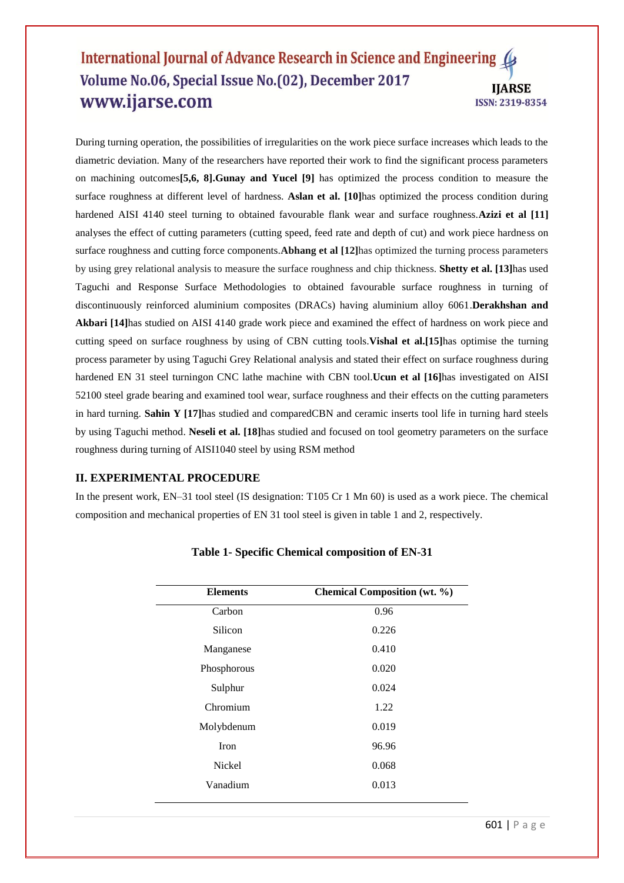During turning operation, the possibilities of irregularities on the work piece surface increases which leads to the diametric deviation. Many of the researchers have reported their work to find the significant process parameters on machining outcomes**[5,6, 8].Gunay and Yucel [9]** has optimized the process condition to measure the surface roughness at different level of hardness. **Aslan et al. [10]**has optimized the process condition during hardened AISI 4140 steel turning to obtained favourable flank wear and surface roughness.**Azizi et al [11]** analyses the effect of cutting parameters (cutting speed, feed rate and depth of cut) and work piece hardness on surface roughness and cutting force components.**Abhang et al [12]**has optimized the turning process parameters by using grey relational analysis to measure the surface roughness and chip thickness. **Shetty et al. [13]**has used Taguchi and Response Surface Methodologies to obtained favourable surface roughness in turning of discontinuously reinforced aluminium composites (DRACs) having aluminium alloy 6061.**Derakhshan and Akbari [14]**has studied on AISI 4140 grade work piece and examined the effect of hardness on work piece and cutting speed on surface roughness by using of CBN cutting tools.**Vishal et al.[15]**has optimise the turning process parameter by using Taguchi Grey Relational analysis and stated their effect on surface roughness during hardened EN 31 steel turningon CNC lathe machine with CBN tool.**Ucun et al [16]**has investigated on AISI 52100 steel grade bearing and examined tool wear, surface roughness and their effects on the cutting parameters in hard turning. **Sahin Y [17]**has studied and comparedCBN and ceramic inserts tool life in turning hard steels by using Taguchi method. **Neseli et al. [18]**has studied and focused on tool geometry parameters on the surface roughness during turning of AISI1040 steel by using RSM method

## **II. EXPERIMENTAL PROCEDURE**

In the present work, EN–31 tool steel (IS designation: T105 Cr 1 Mn 60) is used as a work piece. The chemical composition and mechanical properties of EN 31 tool steel is given in table 1 and 2, respectively.

| <b>Elements</b> | <b>Chemical Composition (wt. %)</b> |  |
|-----------------|-------------------------------------|--|
| Carbon          | 0.96                                |  |
| Silicon         | 0.226                               |  |
| Manganese       | 0.410                               |  |
| Phosphorous     | 0.020                               |  |
| Sulphur         | 0.024                               |  |
| Chromium        | 1.22                                |  |
| Molybdenum      | 0.019                               |  |
| Iron            | 96.96                               |  |
| Nickel          | 0.068                               |  |
| Vanadium        | 0.013                               |  |

# **Table 1- Specific Chemical composition of EN-31**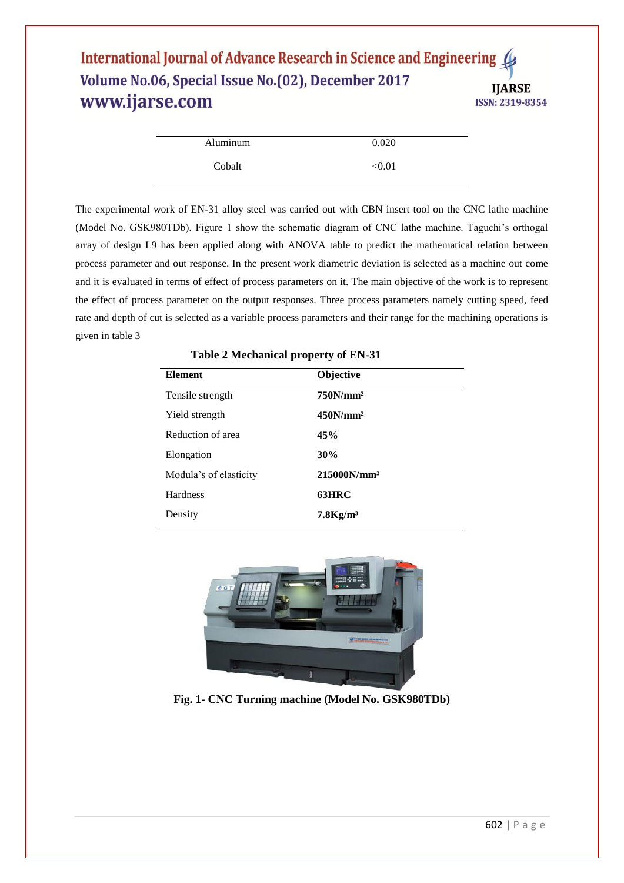| Aluminum | 0.020  |
|----------|--------|
| Cobalt   | < 0.01 |

The experimental work of EN-31 alloy steel was carried out with CBN insert tool on the CNC lathe machine (Model No. GSK980TDb). Figure 1 show the schematic diagram of CNC lathe machine. Taguchi's orthogal array of design L9 has been applied along with ANOVA table to predict the mathematical relation between process parameter and out response. In the present work diametric deviation is selected as a machine out come and it is evaluated in terms of effect of process parameters on it. The main objective of the work is to represent the effect of process parameter on the output responses. Three process parameters namely cutting speed, feed rate and depth of cut is selected as a variable process parameters and their range for the machining operations is given in table 3

| <b>Element</b>         | Objective               |
|------------------------|-------------------------|
| Tensile strength       | 750N/mm <sup>2</sup>    |
| Yield strength         | 450N/mm <sup>2</sup>    |
| Reduction of area      | 45%                     |
| Elongation             | 30%                     |
| Modula's of elasticity | 215000N/mm <sup>2</sup> |
| <b>Hardness</b>        | 63HRC                   |
| Density                | $7.8$ Kg/m <sup>3</sup> |

**Table 2 Mechanical property of EN-31**



**Fig. 1- CNC Turning machine (Model No. GSK980TDb)**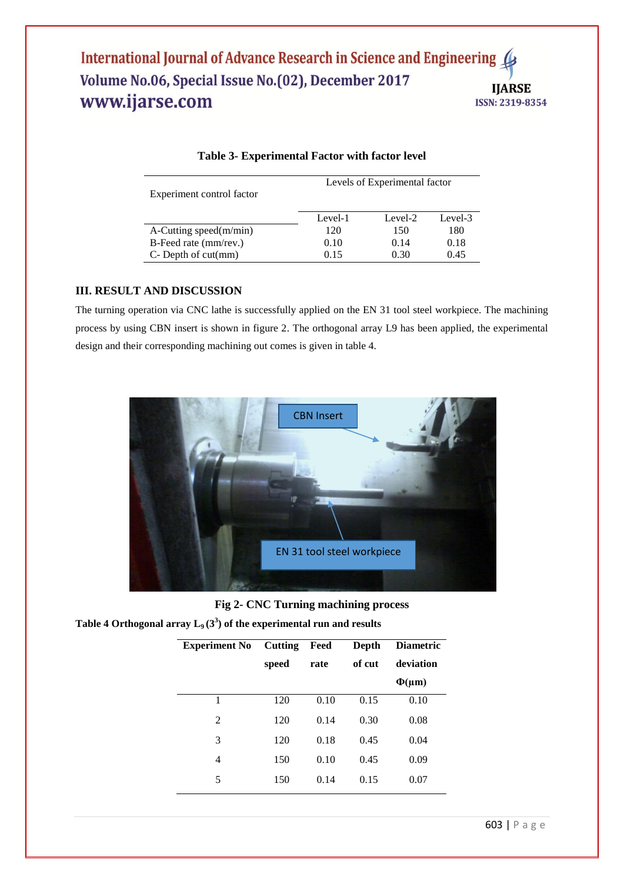| Experiment control factor    | Levels of Experimental factor |         |         |  |
|------------------------------|-------------------------------|---------|---------|--|
|                              | Level-1                       | Level-2 | Level-3 |  |
| $A$ -Cutting speed $(m/min)$ | 120                           | 150     | 180     |  |
| B-Feed rate (mm/rev.)        | 0.10                          | 0.14    | 0.18    |  |
| $C$ - Depth of cut $(mm)$    | 0.15                          | 0.30    | 0.45    |  |

## **Table 3- Experimental Factor with factor level**

# **III. RESULT AND DISCUSSION**

The turning operation via CNC lathe is successfully applied on the EN 31 tool steel workpiece. The machining process by using CBN insert is shown in figure 2. The orthogonal array L9 has been applied, the experimental design and their corresponding machining out comes is given in table 4.



**Fig 2- CNC Turning machining process**

Table 4 Orthogonal array  $L_9(3^3)$  of the experimental run and results

| <b>Experiment No</b> Cutting |       | Feed | Depth  | <b>Diametric</b> |
|------------------------------|-------|------|--------|------------------|
|                              | speed | rate | of cut | deviation        |
|                              |       |      |        | $\Phi(\mu m)$    |
| 1                            | 120   | 0.10 | 0.15   | 0.10             |
| 2                            | 120   | 0.14 | 0.30   | 0.08             |
| 3                            | 120   | 0.18 | 0.45   | 0.04             |
| 4                            | 150   | 0.10 | 0.45   | 0.09             |
| 5                            | 150   | 0.14 | 0.15   | 0.07             |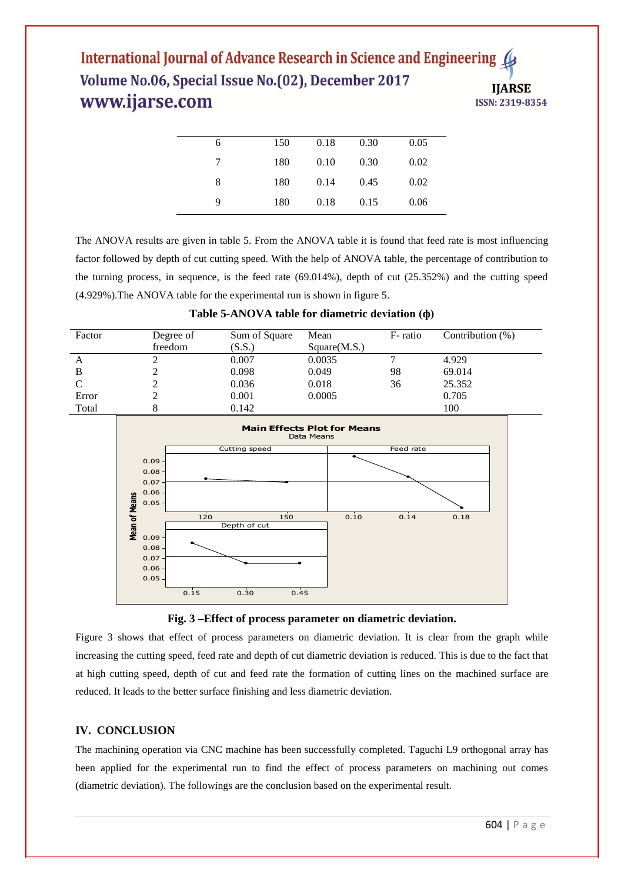| 6 | 150 | 0.18 | 0.30 | 0.05 |
|---|-----|------|------|------|
| 7 | 180 | 0.10 | 0.30 | 0.02 |
| 8 | 180 | 0.14 | 0.45 | 0.02 |
| 9 | 180 | 0.18 | 0.15 | 0.06 |
|   |     |      |      |      |

The ANOVA results are given in table 5. From the ANOVA table it is found that feed rate is most influencing factor followed by depth of cut cutting speed. With the help of ANOVA table, the percentage of contribution to the turning process, in sequence, is the feed rate (69.014%), depth of cut (25.352%) and the cutting speed (4.929%).The ANOVA table for the experimental run is shown in figure 5.

| Factor | Degree of | Sum of Square | Mean         | F-ratio | Contribution $(\%)$ |
|--------|-----------|---------------|--------------|---------|---------------------|
|        | freedom   | (S.S.)        | Square(M.S.) |         |                     |
| A      |           | 0.007         | 0.0035       |         | 4.929               |
|        |           | 0.098         | 0.049        | 98      | 69.014              |
| C      |           | 0.036         | 0.018        | 36      | 25.352              |
| Error  |           | 0.001         | 0.0005       |         | 0.705               |
| Total  |           | 0.142         |              |         | 100                 |





Figure 3 shows that effect of process parameters on diametric deviation. It is clear from the graph while increasing the cutting speed, feed rate and depth of cut diametric deviation is reduced. This is due to the fact that at high cutting speed, depth of cut and feed rate the formation of cutting lines on the machined surface are reduced. It leads to the better surface finishing and less diametric deviation.

# **IV. CONCLUSION**

The machining operation via CNC machine has been successfully completed. Taguchi L9 orthogonal array has been applied for the experimental run to find the effect of process parameters on machining out comes (diametric deviation). The followings are the conclusion based on the experimental result.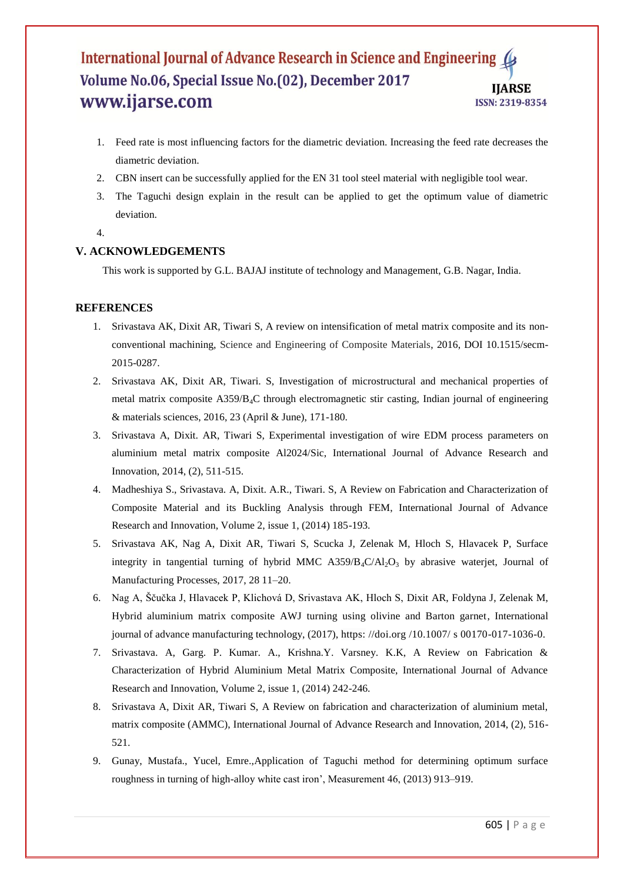- 1. Feed rate is most influencing factors for the diametric deviation. Increasing the feed rate decreases the diametric deviation.
- 2. CBN insert can be successfully applied for the EN 31 tool steel material with negligible tool wear.
- 3. The Taguchi design explain in the result can be applied to get the optimum value of diametric deviation.
- 4.

# **V. ACKNOWLEDGEMENTS**

This work is supported by G.L. BAJAJ institute of technology and Management, G.B. Nagar, India.

# **REFERENCES**

- 1. Srivastava AK, Dixit AR, Tiwari S, A review on intensification of metal matrix composite and its nonconventional machining, Science and Engineering of Composite Materials, 2016, DOI 10.1515/secm-2015-0287.
- 2. Srivastava AK, Dixit AR, Tiwari. S, Investigation of microstructural and mechanical properties of metal matrix composite A359/B4C through electromagnetic stir casting, Indian journal of engineering & materials sciences, 2016, 23 (April & June), 171-180.
- 3. Srivastava A, Dixit. AR, Tiwari S, Experimental investigation of wire EDM process parameters on aluminium metal matrix composite Al2024/Sic, International Journal of Advance Research and Innovation, 2014, (2), 511-515.
- 4. Madheshiya S., Srivastava. A, Dixit. A.R., Tiwari. S, A Review on Fabrication and Characterization of Composite Material and its Buckling Analysis through FEM, International Journal of Advance Research and Innovation, Volume 2, issue 1, (2014) 185-193.
- 5. Srivastava AK, Nag A, Dixit AR, Tiwari S, Scucka J, Zelenak M, Hloch S, Hlavacek P, Surface integrity in tangential turning of hybrid MMC  $A359/B<sub>4</sub>C/Al<sub>2</sub>O<sub>3</sub>$  by abrasive waterjet, Journal of Manufacturing Processes, 2017, 28 11–20.
- 6. Nag A, Ščučka J, Hlavacek P, Klichová D, Srivastava AK, Hloch S, Dixit AR, Foldyna J, Zelenak M, Hybrid aluminium matrix composite AWJ turning using olivine and Barton garnet, International journal of advance manufacturing technology, (2017), https://doi.org /10.1007/ s 00170-017-1036-0.
- 7. Srivastava. A, Garg. P. Kumar. A., Krishna.Y. Varsney. K.K, A Review on Fabrication & Characterization of Hybrid Aluminium Metal Matrix Composite, International Journal of Advance Research and Innovation, Volume 2, issue 1, (2014) 242-246.
- 8. Srivastava A, Dixit AR, Tiwari S, A Review on fabrication and characterization of aluminium metal, matrix composite (AMMC), International Journal of Advance Research and Innovation, 2014, (2), 516- 521.
- 9. Gunay, Mustafa., Yucel, Emre.,Application of Taguchi method for determining optimum surface roughness in turning of high-alloy white cast iron', Measurement 46, (2013) 913–919.